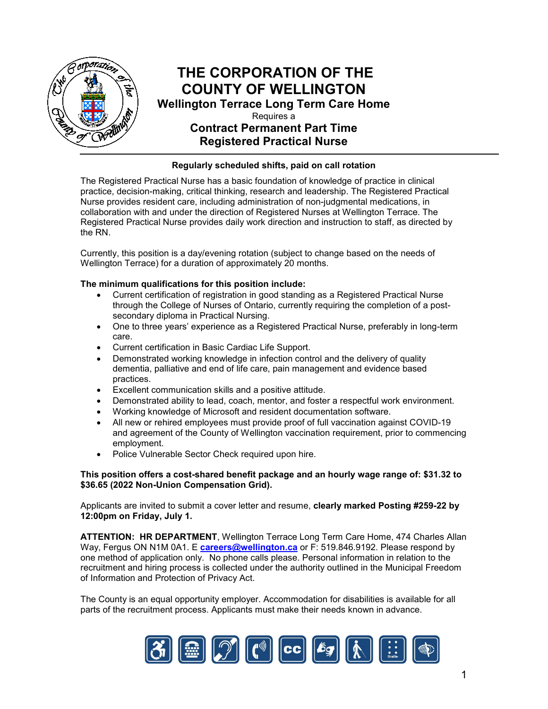

# **THE CORPORATION OF THE COUNTY OF WELLINGTON**

**Wellington Terrace Long Term Care Home**  Requires a **Contract Permanent Part Time Registered Practical Nurse** 

#### **Regularly scheduled shifts, paid on call rotation**

The Registered Practical Nurse has a basic foundation of knowledge of practice in clinical practice, decision-making, critical thinking, research and leadership. The Registered Practical Nurse provides resident care, including administration of non-judgmental medications, in collaboration with and under the direction of Registered Nurses at Wellington Terrace. The Registered Practical Nurse provides daily work direction and instruction to staff, as directed by the RN.

Currently, this position is a day/evening rotation (subject to change based on the needs of Wellington Terrace) for a duration of approximately 20 months.

#### **The minimum qualifications for this position include:**

- Current certification of registration in good standing as a Registered Practical Nurse through the College of Nurses of Ontario, currently requiring the completion of a postsecondary diploma in Practical Nursing.
- One to three years' experience as a Registered Practical Nurse, preferably in long-term care.
- Current certification in Basic Cardiac Life Support.
- Demonstrated working knowledge in infection control and the delivery of quality dementia, palliative and end of life care, pain management and evidence based practices.
- Excellent communication skills and a positive attitude.
- Demonstrated ability to lead, coach, mentor, and foster a respectful work environment.
- Working knowledge of Microsoft and resident documentation software.
- All new or rehired employees must provide proof of full vaccination against COVID-19 and agreement of the County of Wellington vaccination requirement, prior to commencing employment.
- Police Vulnerable Sector Check required upon hire.

#### **This position offers a cost-shared benefit package and an hourly wage range of: \$31.32 to \$36.65 (2022 Non-Union Compensation Grid).**

Applicants are invited to submit a cover letter and resume, **clearly marked Posting #259-22 by 12:00pm on Friday, July 1.**

**ATTENTION: HR DEPARTMENT**, Wellington Terrace Long Term Care Home, 474 Charles Allan Way, Fergus ON N1M 0A1. E **[careers@wellington.ca](mailto:careers@wellington.ca)** or F: 519.846.9192. Please respond by one method of application only. No phone calls please. Personal information in relation to the recruitment and hiring process is collected under the authority outlined in the Municipal Freedom of Information and Protection of Privacy Act.

The County is an equal opportunity employer. Accommodation for disabilities is available for all parts of the recruitment process. Applicants must make their needs known in advance.

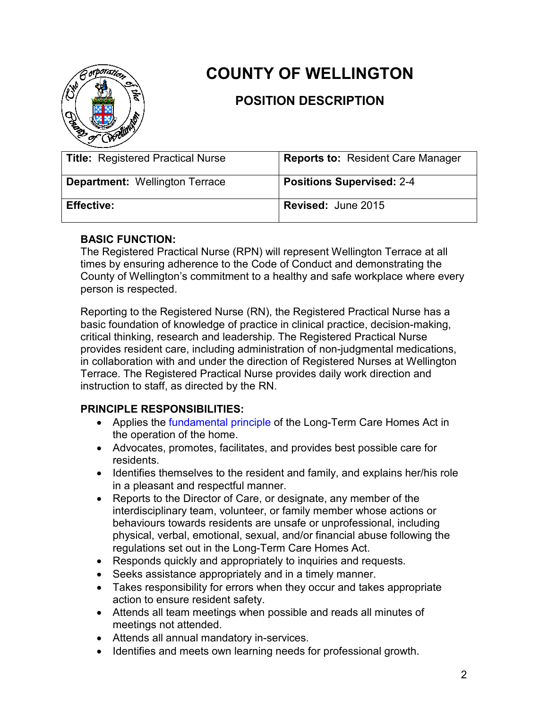

# **COUNTY OF WELLINGTON**

## **POSITION DESCRIPTION**

| <b>Title: Registered Practical Nurse</b> | <b>Reports to: Resident Care Manager</b> |
|------------------------------------------|------------------------------------------|
| <b>Department: Wellington Terrace</b>    | <b>Positions Supervised: 2-4</b>         |
| <b>Effective:</b>                        | <b>Revised: June 2015</b>                |

#### **BASIC FUNCTION:**

The Registered Practical Nurse (RPN) will represent Wellington Terrace at all times by ensuring adherence to the Code of Conduct and demonstrating the County of Wellington's commitment to a healthy and safe workplace where every person is respected.

Reporting to the Registered Nurse (RN), the Registered Practical Nurse has a basic foundation of knowledge of practice in clinical practice, decision-making, critical thinking, research and leadership. The Registered Practical Nurse provides resident care, including administration of non-judgmental medications, in collaboration with and under the direction of Registered Nurses at Wellington Terrace. The Registered Practical Nurse provides daily work direction and instruction to staff, as directed by the RN.

## **PRINCIPLE RESPONSIBILITIES:**

- Applies the [fundamental principle](http://www.ontario.ca/laws/statute/07l08%20-%20BK1%20-%20BK1%20-%20BK1#BK1) of the Long-Term Care Homes Act in the operation of the home.
- Advocates, promotes, facilitates, and provides best possible care for residents.
- Identifies themselves to the resident and family, and explains her/his role in a pleasant and respectful manner.
- Reports to the Director of Care, or designate, any member of the interdisciplinary team, volunteer, or family member whose actions or behaviours towards residents are unsafe or unprofessional, including physical, verbal, emotional, sexual, and/or financial abuse following the regulations set out in the Long-Term Care Homes Act.
- Responds quickly and appropriately to inquiries and requests.
- Seeks assistance appropriately and in a timely manner.
- Takes responsibility for errors when they occur and takes appropriate action to ensure resident safety.
- Attends all team meetings when possible and reads all minutes of meetings not attended.
- Attends all annual mandatory in-services.
- Identifies and meets own learning needs for professional growth.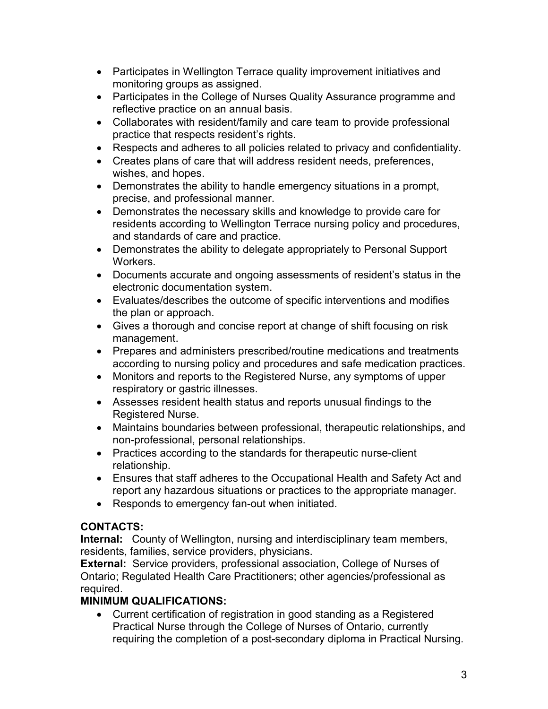- Participates in Wellington Terrace quality improvement initiatives and monitoring groups as assigned.
- Participates in the College of Nurses Quality Assurance programme and reflective practice on an annual basis.
- Collaborates with resident/family and care team to provide professional practice that respects resident's rights.
- Respects and adheres to all policies related to privacy and confidentiality.
- Creates plans of care that will address resident needs, preferences, wishes, and hopes.
- Demonstrates the ability to handle emergency situations in a prompt, precise, and professional manner.
- Demonstrates the necessary skills and knowledge to provide care for residents according to Wellington Terrace nursing policy and procedures, and standards of care and practice.
- Demonstrates the ability to delegate appropriately to Personal Support Workers.
- Documents accurate and ongoing assessments of resident's status in the electronic documentation system.
- Evaluates/describes the outcome of specific interventions and modifies the plan or approach.
- Gives a thorough and concise report at change of shift focusing on risk management.
- Prepares and administers prescribed/routine medications and treatments according to nursing policy and procedures and safe medication practices.
- Monitors and reports to the Registered Nurse, any symptoms of upper respiratory or gastric illnesses.
- Assesses resident health status and reports unusual findings to the Registered Nurse.
- Maintains boundaries between professional, therapeutic relationships, and non-professional, personal relationships.
- Practices according to the standards for therapeutic nurse-client relationship.
- Ensures that staff adheres to the Occupational Health and Safety Act and report any hazardous situations or practices to the appropriate manager.
- Responds to emergency fan-out when initiated.

## **CONTACTS:**

**Internal:** County of Wellington, nursing and interdisciplinary team members, residents, families, service providers, physicians.

**External:** Service providers, professional association, College of Nurses of Ontario; Regulated Health Care Practitioners; other agencies/professional as required.

## **MINIMUM QUALIFICATIONS:**

• Current certification of registration in good standing as a Registered Practical Nurse through the College of Nurses of Ontario, currently requiring the completion of a post-secondary diploma in Practical Nursing.